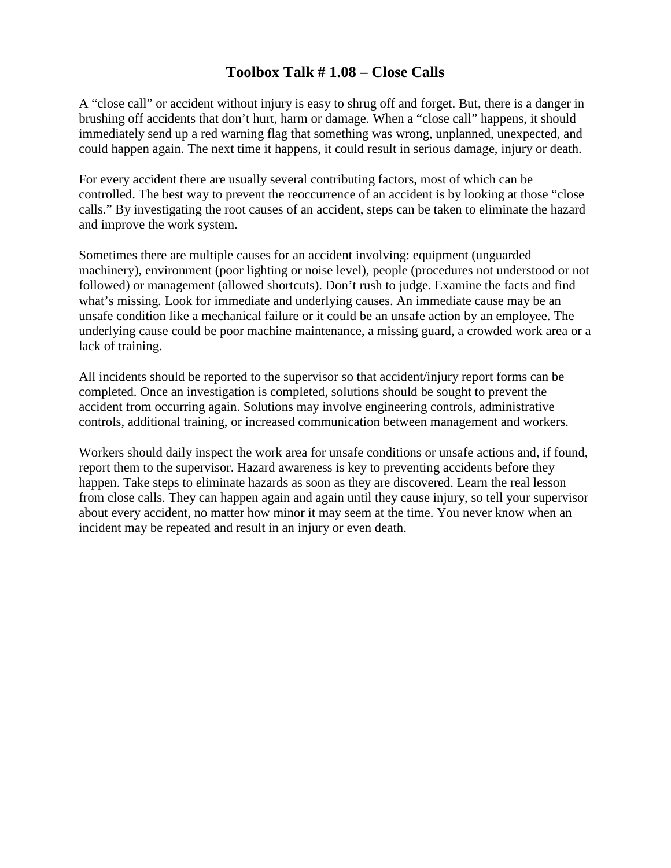## **Toolbox Talk # 1.08 – Close Calls**

A "close call" or accident without injury is easy to shrug off and forget. But, there is a danger in brushing off accidents that don't hurt, harm or damage. When a "close call" happens, it should immediately send up a red warning flag that something was wrong, unplanned, unexpected, and could happen again. The next time it happens, it could result in serious damage, injury or death.

For every accident there are usually several contributing factors, most of which can be controlled. The best way to prevent the reoccurrence of an accident is by looking at those "close calls." By investigating the root causes of an accident, steps can be taken to eliminate the hazard and improve the work system.

Sometimes there are multiple causes for an accident involving: equipment (unguarded machinery), environment (poor lighting or noise level), people (procedures not understood or not followed) or management (allowed shortcuts). Don't rush to judge. Examine the facts and find what's missing. Look for immediate and underlying causes. An immediate cause may be an unsafe condition like a mechanical failure or it could be an unsafe action by an employee. The underlying cause could be poor machine maintenance, a missing guard, a crowded work area or a lack of training.

All incidents should be reported to the supervisor so that accident/injury report forms can be completed. Once an investigation is completed, solutions should be sought to prevent the accident from occurring again. Solutions may involve engineering controls, administrative controls, additional training, or increased communication between management and workers.

Workers should daily inspect the work area for unsafe conditions or unsafe actions and, if found, report them to the supervisor. Hazard awareness is key to preventing accidents before they happen. Take steps to eliminate hazards as soon as they are discovered. Learn the real lesson from close calls. They can happen again and again until they cause injury, so tell your supervisor about every accident, no matter how minor it may seem at the time. You never know when an incident may be repeated and result in an injury or even death.